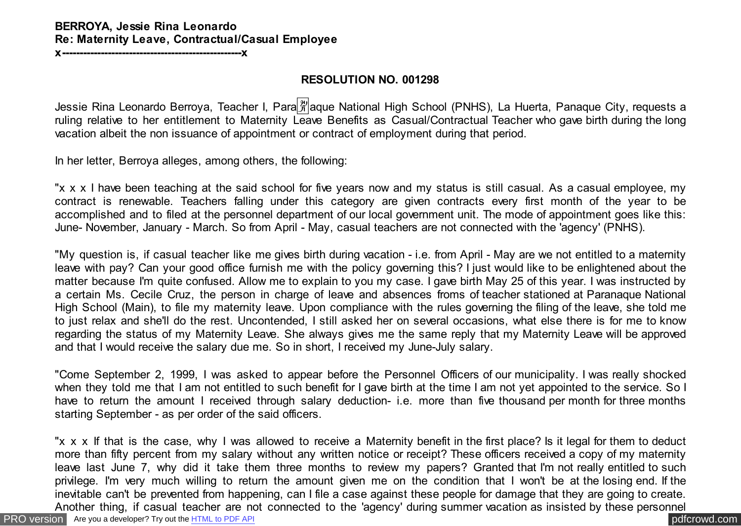#### **BERROYA, Jessie Rina Leonardo Re: Maternity Leave, Contractual/Casual Employee**

**x---------------------------------------------------x**

#### **RESOLUTION NO. 001298**

Jessie Rina Leonardo Berroya, Teacher I, Para # aque National High School (PNHS), La Huerta, Panaque City, requests a ruling relative to her entitlement to Maternity Leave Benefits as Casual/Contractual Teacher who gave birth during the long vacation albeit the non issuance of appointment or contract of employment during that period.

In her letter, Berroya alleges, among others, the following:

"x x x I have been teaching at the said school for five years now and my status is still casual. As a casual employee, my contract is renewable. Teachers falling under this category are given contracts every first month of the year to be accomplished and to filed at the personnel department of our local government unit. The mode of appointment goes like this: June- November, January - March. So from April - May, casual teachers are not connected with the 'agency' (PNHS).

"My question is, if casual teacher like me gives birth during vacation - i.e. from April - May are we not entitled to a maternity leave with pay? Can your good office furnish me with the policy governing this? I just would like to be enlightened about the matter because I'm quite confused. Allow me to explain to you my case. I gave birth May 25 of this year. I was instructed by a certain Ms. Cecile Cruz, the person in charge of leave and absences froms of teacher stationed at Paranaque National High School (Main), to file my maternity leave. Upon compliance with the rules governing the filing of the leave, she told me to just relax and she'll do the rest. Uncontended, I still asked her on several occasions, what else there is for me to know regarding the status of my Maternity Leave. She always gives me the same reply that my Maternity Leave will be approved and that I would receive the salary due me. So in short, I received my June-July salary.

"Come September 2, 1999, I was asked to appear before the Personnel Officers of our municipality. I was really shocked when they told me that I am not entitled to such benefit for I gave birth at the time I am not yet appointed to the service. So I have to return the amount I received through salary deduction- i.e. more than five thousand per month for three months starting September - as per order of the said officers.

"x x x If that is the case, why I was allowed to receive a Maternity benefit in the first place? Is it legal for them to deduct more than fifty percent from my salary without any written notice or receipt? These officers received a copy of my maternity leave last June 7, why did it take them three months to review my papers? Granted that I'm not really entitled to such privilege. I'm very much willing to return the amount given me on the condition that I won't be at the losing end. If the inevitable can't be prevented from happening, can I file a case against these people for damage that they are going to create. Another thing, if casual teacher are not connected to the 'agency' during summer vacation as insisted by these personnel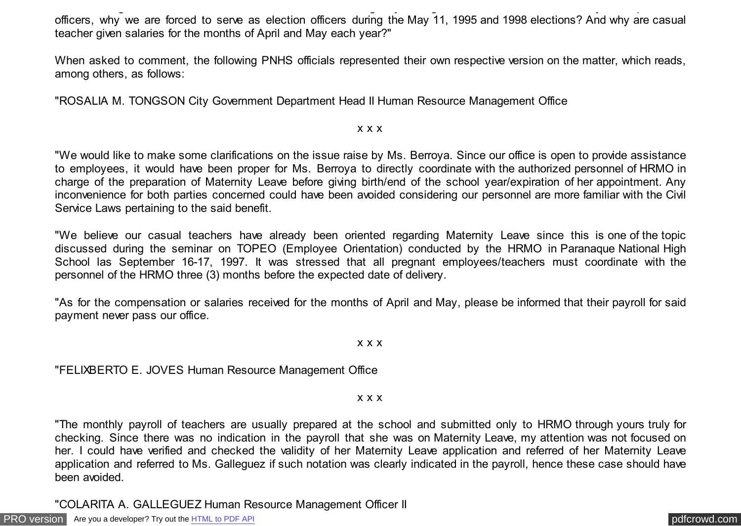Another thing, if casual teacher are not connected to the 'agency' during summer vacation as insisted by these personnel officers, why we are forced to serve as election officers during the May 11, 1995 and 1998 elections? And why are casual teacher given salaries for the months of April and May each year?"

When asked to comment, the following PNHS officials represented their own respective version on the matter, which reads, among others, as follows:

"ROSALIA M. TONGSON City Government Department Head II Human Resource Management Office

#### x x x

"We would like to make some clarifications on the issue raise by Ms. Berroya. Since our office is open to provide assistance to employees, it would have been proper for Ms. Berroya to directly coordinate with the authorized personnel of HRMO in charge of the preparation of Maternity Leave before giving birth/end of the school year/expiration of her appointment. Any inconvenience for both parties concerned could have been avoided considering our personnel are more familiar with the Civil Service Laws pertaining to the said benefit.

"We believe our casual teachers have already been oriented regarding Maternity Leave since this is one of the topic discussed during the seminar on TOPEO (Employee Orientation) conducted by the HRMO in Paranaque National High School las September 16-17, 1997. It was stressed that all pregnant employees/teachers must coordinate with the personnel of the HRMO three (3) months before the expected date of delivery.

"As for the compensation or salaries received for the months of April and May, please be informed that their payroll for said payment never pass our office.

#### x x x

"FELIXBERTO E. JOVES Human Resource Management Office

x x x

"The monthly payroll of teachers are usually prepared at the school and submitted only to HRMO through yours truly for checking. Since there was no indication in the payroll that she was on Maternity Leave, my attention was not focused on her. I could have verified and checked the validity of her Maternity Leave application and referred of her Maternity Leave application and referred to Ms. Galleguez if such notation was clearly indicated in the payroll, hence these case should have been avoided.

"COLARITA A. GALLEGUEZ Human Resource Management Officer II

[PRO version](http://pdfcrowd.com/customize/) Are you a developer? Try out th[e HTML to PDF API](http://pdfcrowd.com/html-to-pdf-api/?ref=pdf) process and the example of the HTML to PDF API [pdfcrowd.com](http://pdfcrowd.com)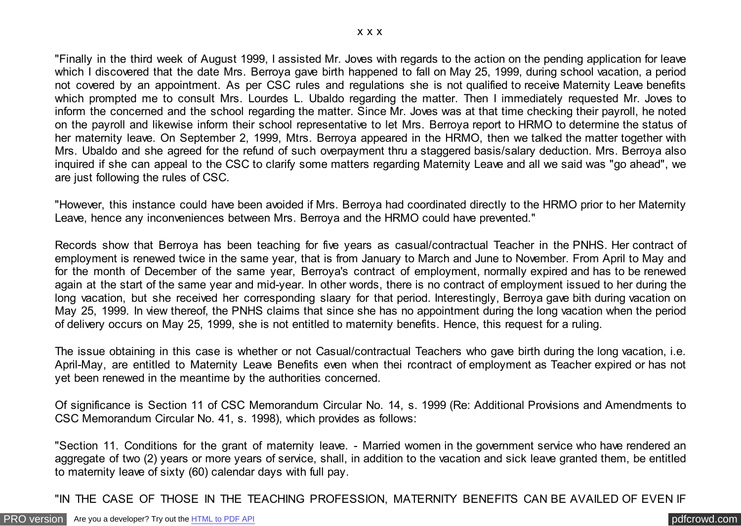"Finally in the third week of August 1999, I assisted Mr. Joves with regards to the action on the pending application for leave which I discovered that the date Mrs. Berroya gave birth happened to fall on May 25, 1999, during school vacation, a period not covered by an appointment. As per CSC rules and regulations she is not qualified to receive Maternity Leave benefits which prompted me to consult Mrs. Lourdes L. Ubaldo regarding the matter. Then I immediately requested Mr. Joves to inform the concerned and the school regarding the matter. Since Mr. Joves was at that time checking their payroll, he noted on the payroll and likewise inform their school representative to let Mrs. Berroya report to HRMO to determine the status of her maternity leave. On September 2, 1999, Mtrs. Berroya appeared in the HRMO, then we talked the matter together with Mrs. Ubaldo and she agreed for the refund of such overpayment thru a staggered basis/salary deduction. Mrs. Berroya also inquired if she can appeal to the CSC to clarify some matters regarding Maternity Leave and all we said was "go ahead", we are just following the rules of CSC.

"However, this instance could have been avoided if Mrs. Berroya had coordinated directly to the HRMO prior to her Maternity Leave, hence any inconveniences between Mrs. Berroya and the HRMO could have prevented."

Records show that Berroya has been teaching for five years as casual/contractual Teacher in the PNHS. Her contract of employment is renewed twice in the same year, that is from January to March and June to November. From April to May and for the month of December of the same year, Berroya's contract of employment, normally expired and has to be renewed again at the start of the same year and mid-year. In other words, there is no contract of employment issued to her during the long vacation, but she received her corresponding slaary for that period. Interestingly, Berroya gave bith during vacation on May 25, 1999. In view thereof, the PNHS claims that since she has no appointment during the long vacation when the period of delivery occurs on May 25, 1999, she is not entitled to maternity benefits. Hence, this request for a ruling.

The issue obtaining in this case is whether or not Casual/contractual Teachers who gave birth during the long vacation, i.e. April-May, are entitled to Maternity Leave Benefits even when thei rcontract of employment as Teacher expired or has not yet been renewed in the meantime by the authorities concerned.

Of significance is Section 11 of CSC Memorandum Circular No. 14, s. 1999 (Re: Additional Provisions and Amendments to CSC Memorandum Circular No. 41, s. 1998), which provides as follows:

"Section 11. Conditions for the grant of maternity leave. - Married women in the government service who have rendered an aggregate of two (2) years or more years of service, shall, in addition to the vacation and sick leave granted them, be entitled to maternity leave of sixty (60) calendar days with full pay.

"IN THE CASE OF THOSE IN THE TEACHING PROFESSION, MATERNITY BENEFITS CAN BE AVAILED OF EVEN IF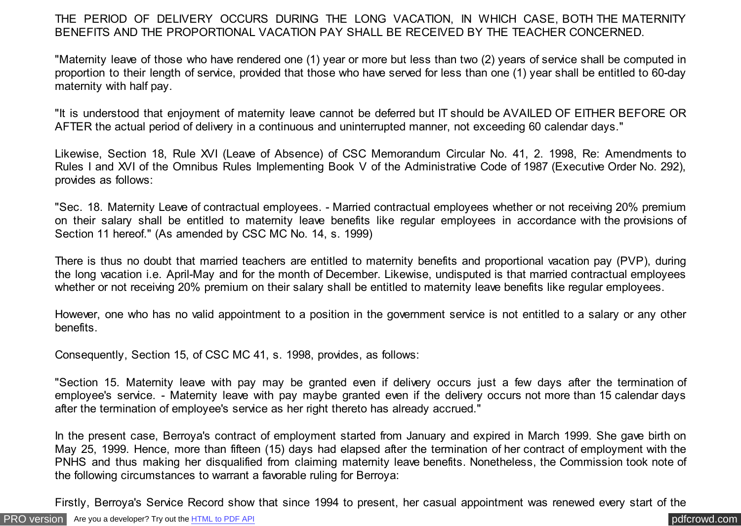THE PERIOD OF DELIVERY OCCURS DURING THE LONG VACATION, IN WHICH CASE, BOTH THE MATERNITY BENEFITS AND THE PROPORTIONAL VACATION PAY SHALL BE RECEIVED BY THE TEACHER CONCERNED.

"Maternity leave of those who have rendered one (1) year or more but less than two (2) years of service shall be computed in proportion to their length of service, provided that those who have served for less than one (1) year shall be entitled to 60-day maternity with half pay.

"It is understood that enjoyment of maternity leave cannot be deferred but IT should be AVAILED OF EITHER BEFORE OR AFTER the actual period of delivery in a continuous and uninterrupted manner, not exceeding 60 calendar days."

Likewise, Section 18, Rule XVI (Leave of Absence) of CSC Memorandum Circular No. 41, 2. 1998, Re: Amendments to Rules I and XVI of the Omnibus Rules Implementing Book V of the Administrative Code of 1987 (Executive Order No. 292), provides as follows:

"Sec. 18. Maternity Leave of contractual employees. - Married contractual employees whether or not receiving 20% premium on their salary shall be entitled to maternity leave benefits like regular employees in accordance with the provisions of Section 11 hereof." (As amended by CSC MC No. 14, s. 1999)

There is thus no doubt that married teachers are entitled to maternity benefits and proportional vacation pay (PVP), during the long vacation i.e. April-May and for the month of December. Likewise, undisputed is that married contractual employees whether or not receiving 20% premium on their salary shall be entitled to maternity leave benefits like regular employees.

However, one who has no valid appointment to a position in the government service is not entitled to a salary or any other benefits.

Consequently, Section 15, of CSC MC 41, s. 1998, provides, as follows:

"Section 15. Maternity leave with pay may be granted even if delivery occurs just a few days after the termination of employee's service. - Maternity leave with pay maybe granted even if the delivery occurs not more than 15 calendar days after the termination of employee's service as her right thereto has already accrued."

In the present case, Berroya's contract of employment started from January and expired in March 1999. She gave birth on May 25, 1999. Hence, more than fifteen (15) days had elapsed after the termination of her contract of employment with the PNHS and thus making her disqualified from claiming maternity leave benefits. Nonetheless, the Commission took note of the following circumstances to warrant a favorable ruling for Berroya:

Firstly, Berroya's Service Record show that since 1994 to present, her casual appointment was renewed every start of the